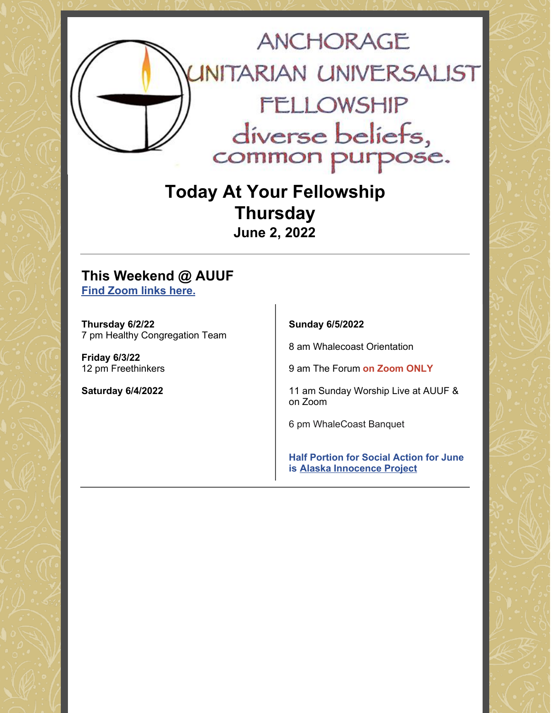

## **Today At Your Fellowship Thursday June 2, 2022**

### **This Weekend @ AUUF Find [Zoom](https://www.anchorageuuf.org/whats-happening) links here.**

**Thursday 6/2/22** 7 pm Healthy Congregation Team

**Friday 6/3/22** 12 pm Freethinkers

**Saturday 6/4/2022**

**Sunday 6/5/2022**

8 am Whalecoast Orientation

9 am The Forum **on Zoom ONLY**

11 am Sunday Worship Live at AUUF & on Zoom

6 pm WhaleCoast Banquet

**Half Portion for Social Action for June is Alaska [Innocence](https://www.eservicepayments.com/cgi-bin/Vanco_ver3.vps?appver3=Fi1giPL8kwX_Oe1AO50jRq-vqhYD4HFEUDzzpS446PZEOVZpPcIw91FrYieK2rA42EvVVAEjqawDomKT1pboucV3cfeg9mlq7KhWIsh8T0g=&ver=3) Project**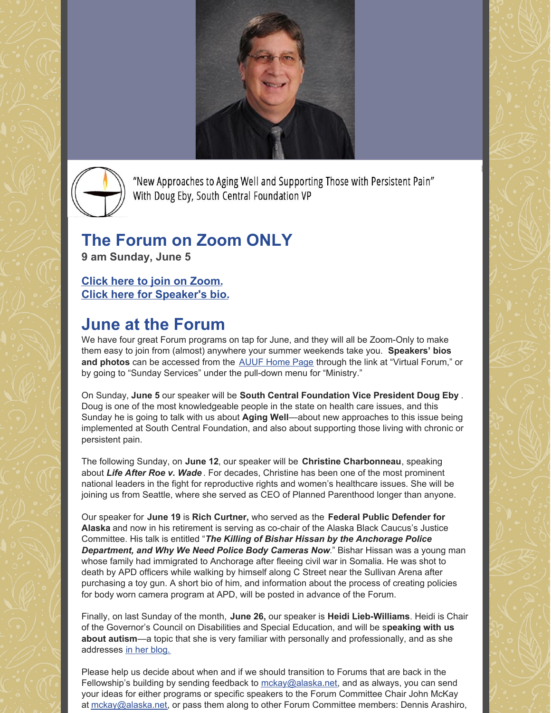



"New Approaches to Aging Well and Supporting Those with Persistent Pain" With Doug Eby, South Central Foundation VP

# **The Forum on Zoom ONLY**

**9 am Sunday, June 5**

**Click here to join on [Zoom.](https://www.anchorageuuf.org/sundayonzoom) Click here for [Speaker's](https://www.anchorageuuf.org/services-support) bio.**

# **June at the Forum**

We have four great Forum programs on tap for June, and they will all be Zoom-Only to make them easy to join from (almost) anywhere your summer weekends take you. **Speakers' bios and photos** can be accessed from the [AUUF](http://www.anchorageuuf.org) Home Page through the link at "Virtual Forum," or by going to "Sunday Services" under the pull-down menu for "Ministry."

On Sunday, **June 5** our speaker will be **South Central Foundation Vice President Doug Eby** . Doug is one of the most knowledgeable people in the state on health care issues, and this Sunday he is going to talk with us about **Aging Well**—about new approaches to this issue being implemented at South Central Foundation, and also about supporting those living with chronic or persistent pain.

The following Sunday, on **June 12**, our speaker will be **Christine Charbonneau**, speaking about *Life After Roe v. Wade* . For decades, Christine has been one of the most prominent national leaders in the fight for reproductive rights and women's healthcare issues. She will be joining us from Seattle, where she served as CEO of Planned Parenthood longer than anyone.

Our speaker for **June 19** is **Rich Curtner,** who served as the **Federal Public Defender for Alaska** and now in his retirement is serving as co-chair of the Alaska Black Caucus's Justice Committee. His talk is entitled "*The Killing of Bishar Hissan by the Anchorage Police Department, and Why We Need Police Body Cameras Now*." Bishar Hissan was a young man whose family had immigrated to Anchorage after fleeing civil war in Somalia. He was shot to death by APD officers while walking by himself along C Street near the Sullivan Arena after purchasing a toy gun. A short bio of him, and information about the process of creating policies for body worn camera program at APD, will be posted in advance of the Forum.

Finally, on last Sunday of the month, **June 26,** our speaker is **Heidi Lieb-Williams**. Heidi is Chair of the Governor's Council on Disabilities and Special Education, and will be s**peaking with us about autism**—a topic that she is very familiar with personally and professionally, and as she addresses in her [blog.](https://www.puzzledwithpurpose.net/blog/speaker-advocate-info)

Please help us decide about when and if we should transition to Forums that are back in the Fellowship's building by sending feedback to  $mckay@alaska.net$ , and as always, you can send your ideas for either programs or specific speakers to the Forum Committee Chair John McKay at [mckay@alaska.net](mailto:mckay@alaska.net), or pass them along to other Forum Committee members: Dennis Arashiro,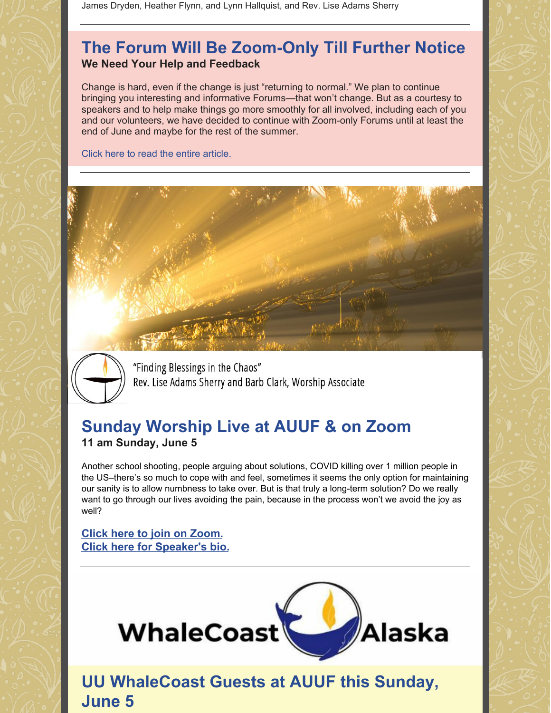James Dryden, Heather Flynn, and Lynn Hallquist, and Rev. Lise Adams Sherry

### **The Forum Will Be Zoom-Only Till Further Notice We Need Your Help and Feedback**

Change is hard, even if the change is just "returning to normal." We plan to continue bringing you interesting and informative Forums—that won't change. But as a courtesy to speakers and to help make things go more smoothly for all involved, including each of you and our volunteers, we have decided to continue with Zoom-only Forums until at least the end of June and maybe for the rest of the summer.

Click here to read the entire [article.](https://docs.google.com/document/d/1KURyQRhCAbz785VQJ26J0c4FHGvh0nwnnDK6AE7VKAE/edit?usp=sharing)





"Finding Blessings in the Chaos" Rev. Lise Adams Sherry and Barb Clark, Worship Associate

### **Sunday Worship Live at AUUF & on Zoom 11 am Sunday, June 5**

Another school shooting, people arguing about solutions, COVID killing over 1 million people in the US–there's so much to cope with and feel, sometimes it seems the only option for maintaining our sanity is to allow numbness to take over. But is that truly a long-term solution? Do we really want to go through our lives avoiding the pain, because in the process won't we avoid the joy as well?

### **Click here to join on [Zoom.](https://www.anchorageuuf.org/sundayonzoom) Click here for [Speaker's](https://www.anchorageuuf.org/services-support) bio.**



**UU WhaleCoast Guests at AUUF this Sunday, June 5**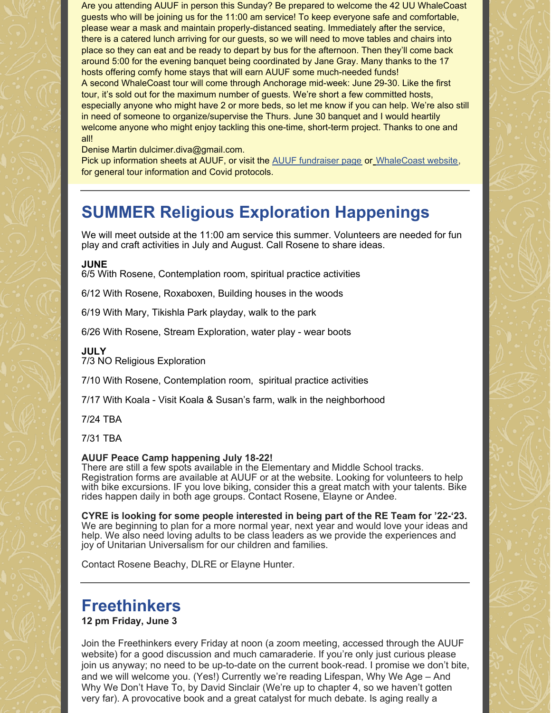Are you attending AUUF in person this Sunday? Be prepared to welcome the 42 UU WhaleCoast guests who will be joining us for the 11:00 am service! To keep everyone safe and comfortable, please wear a mask and maintain properly-distanced seating. Immediately after the service, there is a catered lunch arriving for our guests, so we will need to move tables and chairs into place so they can eat and be ready to depart by bus for the afternoon. Then they'll come back around 5:00 for the evening banquet being coordinated by Jane Gray. Many thanks to the 17 hosts offering comfy home stays that will earn AUUF some much-needed funds! A second WhaleCoast tour will come through Anchorage mid-week: June 29-30. Like the first tour, it's sold out for the maximum number of guests. We're short a few committed hosts, especially anyone who might have 2 or more beds, so let me know if you can help. We're also still in need of someone to organize/supervise the Thurs. June 30 banquet and I would heartily welcome anyone who might enjoy tackling this one-time, short-term project. Thanks to one and all!

Denise Martin dulcimer.diva@gmail.com.

Pick up information sheets at AUUF, or visit the AUUF [fundraiser](https://www.anchorageuuf.org/fund-raisers) page or [WhaleCoast](https://whalecoastak.org) website, for general tour information and Covid protocols.

## **SUMMER Religious Exploration Happenings**

We will meet outside at the 11:00 am service this summer. Volunteers are needed for fun play and craft activities in July and August. Call Rosene to share ideas.

#### **JUNE**

6/5 With Rosene, Contemplation room, spiritual practice activities

6/12 With Rosene, Roxaboxen, Building houses in the woods

6/19 With Mary, Tikishla Park playday, walk to the park

6/26 With Rosene, Stream Exploration, water play - wear boots

#### **JULY**

7/3 NO Religious Exploration

7/10 With Rosene, Contemplation room, spiritual practice activities

7/17 With Koala - Visit Koala & Susan's farm, walk in the neighborhood

7/24 TBA

7/31 TBA

#### **AUUF Peace Camp happening July 18-22!**

There are still a few spots available in the Elementary and Middle School tracks. Registration forms are available at AUUF or at the website. Looking for volunteers to help with bike excursions. IF you love biking, consider this a great match with your talents. Bike rides happen daily in both age groups. Contact Rosene, Elayne or Andee.

**CYRE is looking for some people interested in being part of the RE Team for '22-'23.** We are beginning to plan for a more normal year, next year and would love your ideas and help. We also need loving adults to be class leaders as we provide the experiences and joy of Unitarian Universalism for our children and families.

Contact Rosene Beachy, DLRE or Elayne Hunter.

### **Freethinkers**

#### **12 pm Friday, June 3**

Join the Freethinkers every Friday at noon (a zoom meeting, accessed through the AUUF website) for a good discussion and much camaraderie. If you're only just curious please join us anyway; no need to be up-to-date on the current book-read. I promise we don't bite, and we will welcome you. (Yes!) Currently we're reading Lifespan, Why We Age – And Why We Don't Have To, by David Sinclair (We're up to chapter 4, so we haven't gotten very far). A provocative book and a great catalyst for much debate. Is aging really a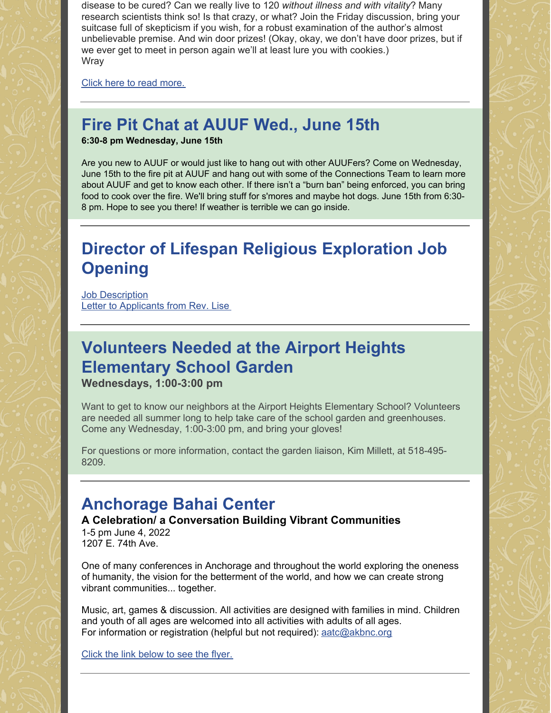disease to be cured? Can we really live to 120 *without illness and with vitality*? Many research scientists think so! Is that crazy, or what? Join the Friday discussion, bring your suitcase full of skepticism if you wish, for a robust examination of the author's almost unbelievable premise. And win door prizes! (Okay, okay, we don't have door prizes, but if we ever get to meet in person again we'll at least lure you with cookies.) **Wray** 

Click here to read [more.](https://docs.google.com/document/d/1D2Agt2ZbhVAJKG2eHZiqXPkO_09KSyAY89coda9B0ZU/edit?usp=sharing)

# **Fire Pit Chat at AUUF Wed., June 15th**

**6:30-8 pm Wednesday, June 15th**

Are you new to AUUF or would just like to hang out with other AUUFers? Come on Wednesday, June 15th to the fire pit at AUUF and hang out with some of the Connections Team to learn more about AUUF and get to know each other. If there isn't a "burn ban" being enforced, you can bring food to cook over the fire. We'll bring stuff for s'mores and maybe hot dogs. June 15th from 6:30- 8 pm. Hope to see you there! If weather is terrible we can go inside.

# **Director of Lifespan Religious Exploration Job Opening**

**Job [Description](https://docs.google.com/document/d/1KaqAM5hJUiNjFws2ZzBgc-5yv19MNb9F/edit?usp=sharing&ouid=102381742394212056852&rtpof=true&sd=true)** Letter to [Applicants](https://docs.google.com/document/d/1SPxGoNCbAj-StpTkNW2eXVaJvPm9Fkdx/edit?usp=sharing&ouid=102381742394212056852&rtpof=true&sd=true) from Rev. Lise

# **Volunteers Needed at the Airport Heights Elementary School Garden**

**Wednesdays, 1:00-3:00 pm**

Want to get to know our neighbors at the Airport Heights Elementary School? Volunteers are needed all summer long to help take care of the school garden and greenhouses. Come any Wednesday, 1:00-3:00 pm, and bring your gloves!

For questions or more information, contact the garden liaison, Kim Millett, at 518-495- 8209.

## **Anchorage Bahai Center**

**A Celebration/ a Conversation Building Vibrant Communities**

1-5 pm June 4, 2022 1207 E. 74th Ave.

One of many conferences in Anchorage and throughout the world exploring the oneness of humanity, the vision for the betterment of the world, and how we can create strong vibrant communities... together.

Music, art, games & discussion. All activities are designed with families in mind. Children and youth of all ages are welcomed into all activities with adults of all ages. For information or registration (helpful but not required): aatc@akbnc.org

Click the link [below](https://drive.google.com/file/d/1XR4IXRoC7ZzR1qaidzMvF8P9ltleUEKK/view?usp=sharing) to see the flyer.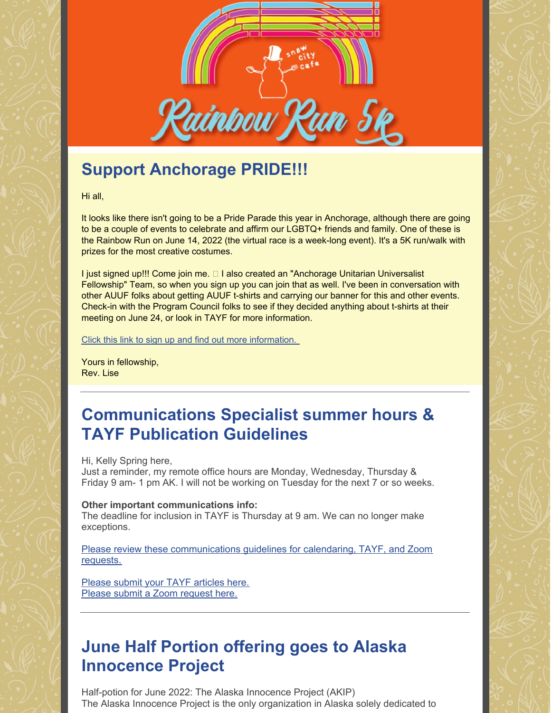

# **Support Anchorage PRIDE!!!**

Hi all,

It looks like there isn't going to be a Pride Parade this year in Anchorage, although there are going to be a couple of events to celebrate and affirm our LGBTQ+ friends and family. One of these is the Rainbow Run on June 14, 2022 (the virtual race is a week-long event). It's a 5K run/walk with prizes for the most creative costumes.

I just signed up!!! Come join me. I also created an "Anchorage Unitarian Universalist Fellowship" Team, so when you sign up you can join that as well. I've been in conversation with other AUUF folks about getting AUUF t-shirts and carrying our banner for this and other events. Check-in with the Program Council folks to see if they decided anything about t-shirts at their meeting on June 24, or look in TAYF for more information.

Click this link to sign up and find out more [information.](https://runsignup.com/Race/AK/Anchorage/AKRainbowRun)

Yours in fellowship, Rev. Lise

## **Communications Specialist summer hours & TAYF Publication Guidelines**

Hi, Kelly Spring here,

Just a reminder, my remote office hours are Monday, Wednesday, Thursday & Friday 9 am- 1 pm AK. I will not be working on Tuesday for the next 7 or so weeks.

#### **Other important communications info:**

The deadline for inclusion in TAYF is Thursday at 9 am. We can no longer make exceptions.

Please review these [communications](https://docs.google.com/document/d/16oiuhwxP7JgTDFUMBvTtbG5lVj3uI-HdfHdxzLXs3bE/edit?usp=sharing) guidelines for calendaring, TAYF, and Zoom requests.

Please submit your TAYF [articles](https://www.anchorageuuf.org/communications) here. Please submit a Zoom [request](https://www.anchorageuuf.org/communications) here.

# **June Half Portion offering goes to Alaska Innocence Project**

Half-potion for June 2022: The Alaska Innocence Project (AKIP) The Alaska Innocence Project is the only organization in Alaska solely dedicated to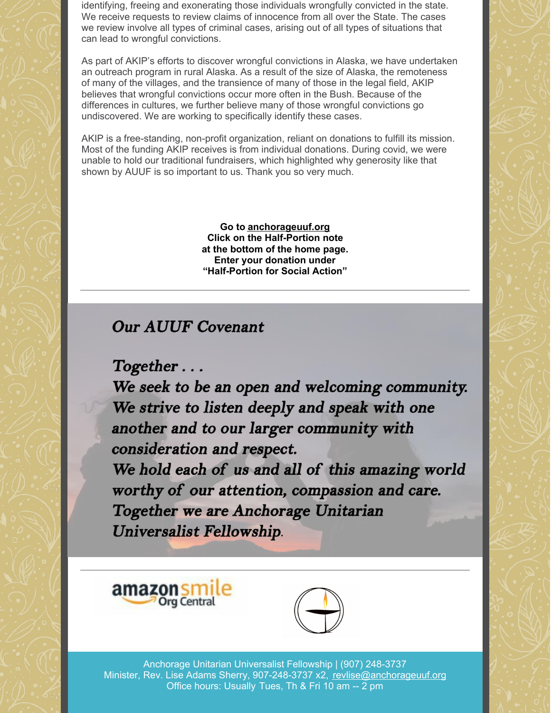identifying, freeing and exonerating those individuals wrongfully convicted in the state. We receive requests to review claims of innocence from all over the State. The cases we review involve all types of criminal cases, arising out of all types of situations that can lead to wrongful convictions.

As part of AKIP's efforts to discover wrongful convictions in Alaska, we have undertaken an outreach program in rural Alaska. As a result of the size of Alaska, the remoteness of many of the villages, and the transience of many of those in the legal field, AKIP believes that wrongful convictions occur more often in the Bush. Because of the differences in cultures, we further believe many of those wrongful convictions go undiscovered. We are working to specifically identify these cases.

AKIP is a free-standing, non-profit organization, reliant on donations to fulfill its mission. Most of the funding AKIP receives is from individual donations. During covid, we were unable to hold our traditional fundraisers, which highlighted why generosity like that shown by AUUF is so important to us. Thank you so very much.

> **Go to [anchorageuuf.org](http://anchorageuuf.org/) Click on the Half-Portion note at the bottom of the home page. Enter your donation under "Half-Portion for Social Action"**

### **Our AUUF Covenant**

 $Together...$ 

We seek to be an open and welcoming community. We strive to listen deeply and speak with one another and to our larger community with consideration and respect.

We hold each of us and all of this amazing world worthy of our attention, compassion and care. Together we are Anchorage Unitarian **Universalist Fellowship.** 





Anchorage Unitarian Universalist Fellowship | (907) 248-3737 Minister, Rev. Lise Adams Sherry, 907-248-3737 x2, [revlise@anchorageuuf.org](mailto:revlise@anchorageuuf.org) Office hours: Usually Tues, Th & Fri 10 am -- 2 pm